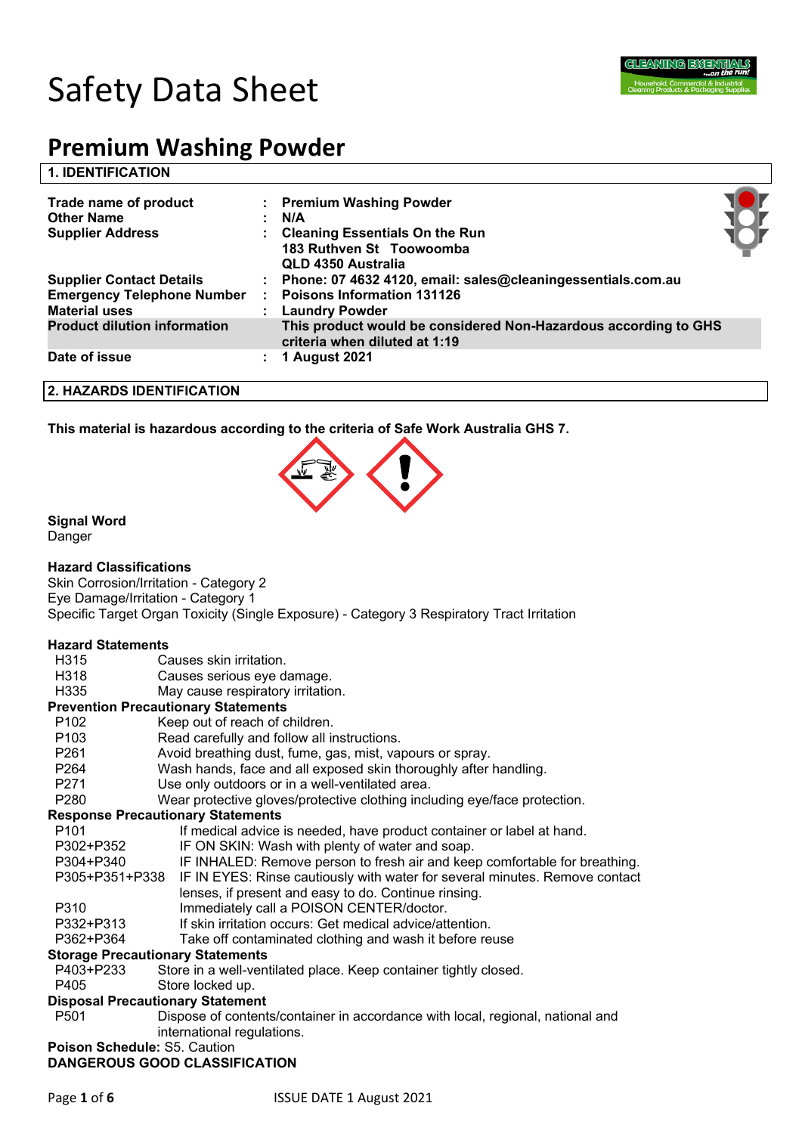

# Safety Data Sheet

# **Premium Washing Powder**

#### **1. IDENTIFICATION**

| Trade name of product<br><b>Other Name</b><br><b>Supplier Address</b> | : Premium Washing Powder<br>N/A<br><b>Cleaning Essentials On the Run</b><br>183 Ruthven St Toowoomba<br>QLD 4350 Australia |  |
|-----------------------------------------------------------------------|----------------------------------------------------------------------------------------------------------------------------|--|
| <b>Supplier Contact Details</b><br><b>Emergency Telephone Number</b>  | Phone: 07 4632 4120, email: sales@cleaningessentials.com.au<br><b>Poisons Information 131126</b>                           |  |
| <b>Material uses</b>                                                  | <b>Laundry Powder</b>                                                                                                      |  |
| <b>Product dilution information</b>                                   | This product would be considered Non-Hazardous according to GHS<br>criteria when diluted at 1:19                           |  |
| Date of issue                                                         | 1 August 2021                                                                                                              |  |

#### **2. HAZARDS IDENTIFICATION**

**This material is hazardous according to the criteria of Safe Work Australia GHS 7.**



#### **Signal Word**

Danger

#### **Hazard Classifications**

Skin Corrosion/Irritation - Category 2 Eye Damage/Irritation - Category 1 Specific Target Organ Toxicity (Single Exposure) - Category 3 Respiratory Tract Irritation

#### **Hazard Statements**

- H315 Causes skin irritation.
- H318 Causes serious eye damage.
- H335 May cause respiratory irritation.

#### **Prevention Precautionary Statements**

- P102 Keep out of reach of children.
- P103 Read carefully and follow all instructions.
- P261 Avoid breathing dust, fume, gas, mist, vapours or spray.
- P264 Wash hands, face and all exposed skin thoroughly after handling.
- P271 Use only outdoors or in a well-ventilated area.
- P280 Wear protective gloves/protective clothing including eye/face protection.

#### **Response Precautionary Statements**

| If medical advice is needed, have product container or label at hand. | P101 |  |  |  |
|-----------------------------------------------------------------------|------|--|--|--|
|-----------------------------------------------------------------------|------|--|--|--|

- P302+P352 IF ON SKIN: Wash with plenty of water and soap.
- P304+P340 IF INHALED: Remove person to fresh air and keep comfortable for breathing.
- P305+P351+P338 IF IN EYES: Rinse cautiously with water for several minutes. Remove contact
- lenses, if present and easy to do. Continue rinsing.
- P310 Immediately call a POISON CENTER/doctor.
- P332+P313 If skin irritation occurs: Get medical advice/attention.
- P362+P364 Take off contaminated clothing and wash it before reuse

#### **Storage Precautionary Statements**

- P403+P233 Store in a well-ventilated place. Keep container tightly closed.
- P405 Store locked up.

#### **Disposal Precautionary Statement**

P501 Dispose of contents/container in accordance with local, regional, national and international regulations.

#### **Poison Schedule:** S5. Caution **DANGEROUS GOOD CLASSIFICATION**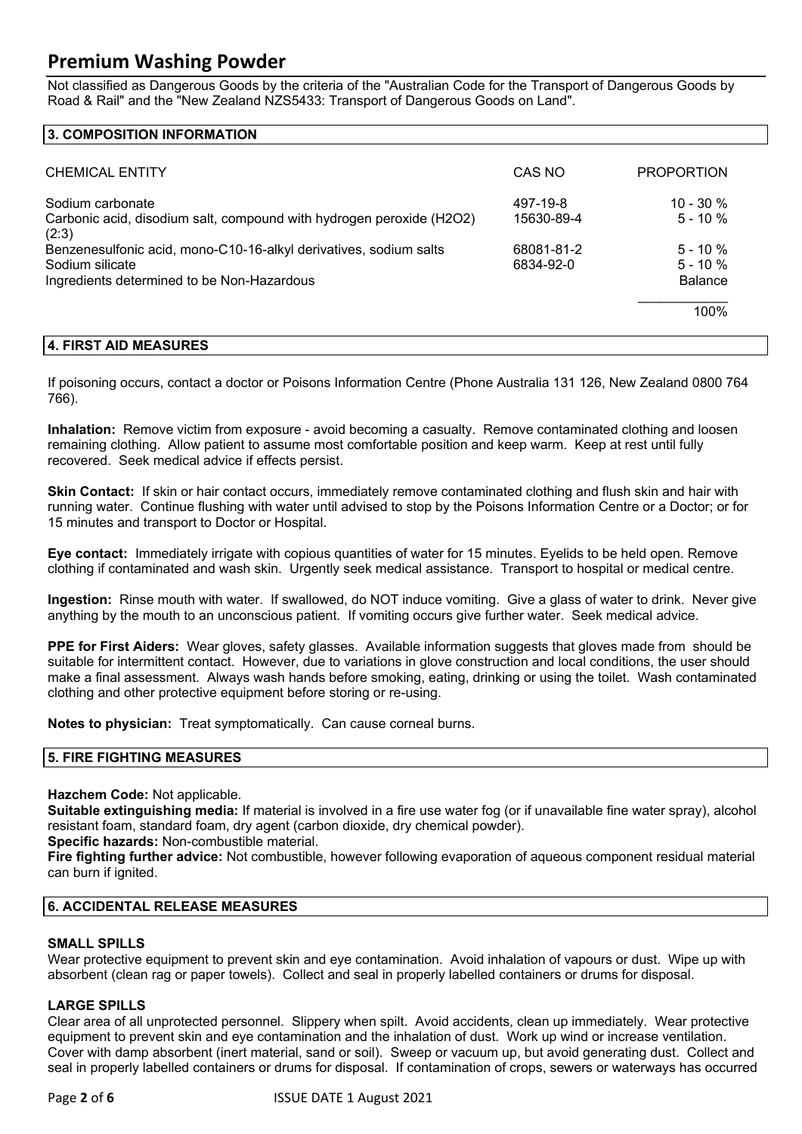Not classified as Dangerous Goods by the criteria of the "Australian Code for the Transport of Dangerous Goods by Road & Rail" and the "New Zealand NZS5433: Transport of Dangerous Goods on Land".

#### **3. COMPOSITION INFORMATION**

| <b>CHEMICAL ENTITY</b>                                                                                                                                                                    | CAS NO                                            | <b>PROPORTION</b>                                     |
|-------------------------------------------------------------------------------------------------------------------------------------------------------------------------------------------|---------------------------------------------------|-------------------------------------------------------|
| Sodium carbonate<br>Carbonic acid, disodium salt, compound with hydrogen peroxide (H2O2)<br>(2:3)<br>Benzenesulfonic acid, mono-C10-16-alkyl derivatives, sodium salts<br>Sodium silicate | 497-19-8<br>15630-89-4<br>68081-81-2<br>6834-92-0 | $10 - 30 \%$<br>$5 - 10%$<br>$5 - 10%$<br>$5 - 10 \%$ |
| Ingredients determined to be Non-Hazardous                                                                                                                                                |                                                   | <b>Balance</b>                                        |
|                                                                                                                                                                                           |                                                   | 100%                                                  |

#### **4. FIRST AID MEASURES**

If poisoning occurs, contact a doctor or Poisons Information Centre (Phone Australia 131 126, New Zealand 0800 764 766).

**Inhalation:** Remove victim from exposure - avoid becoming a casualty. Remove contaminated clothing and loosen remaining clothing. Allow patient to assume most comfortable position and keep warm. Keep at rest until fully recovered. Seek medical advice if effects persist.

**Skin Contact:** If skin or hair contact occurs, immediately remove contaminated clothing and flush skin and hair with running water. Continue flushing with water until advised to stop by the Poisons Information Centre or a Doctor; or for 15 minutes and transport to Doctor or Hospital.

**Eye contact:** Immediately irrigate with copious quantities of water for 15 minutes. Eyelids to be held open. Remove clothing if contaminated and wash skin. Urgently seek medical assistance. Transport to hospital or medical centre.

**Ingestion:** Rinse mouth with water. If swallowed, do NOT induce vomiting. Give a glass of water to drink. Never give anything by the mouth to an unconscious patient. If vomiting occurs give further water. Seek medical advice.

**PPE for First Aiders:** Wear gloves, safety glasses. Available information suggests that gloves made from should be suitable for intermittent contact. However, due to variations in glove construction and local conditions, the user should make a final assessment. Always wash hands before smoking, eating, drinking or using the toilet. Wash contaminated clothing and other protective equipment before storing or re-using.

**Notes to physician:** Treat symptomatically. Can cause corneal burns.

#### **5. FIRE FIGHTING MEASURES**

**Hazchem Code:** Not applicable.

**Suitable extinguishing media:** If material is involved in a fire use water fog (or if unavailable fine water spray), alcohol resistant foam, standard foam, dry agent (carbon dioxide, dry chemical powder).

**Specific hazards:** Non-combustible material.

**Fire fighting further advice:** Not combustible, however following evaporation of aqueous component residual material can burn if ignited.

#### **6. ACCIDENTAL RELEASE MEASURES**

#### **SMALL SPILLS**

Wear protective equipment to prevent skin and eye contamination. Avoid inhalation of vapours or dust. Wipe up with absorbent (clean rag or paper towels). Collect and seal in properly labelled containers or drums for disposal.

#### **LARGE SPILLS**

Clear area of all unprotected personnel. Slippery when spilt. Avoid accidents, clean up immediately. Wear protective equipment to prevent skin and eye contamination and the inhalation of dust. Work up wind or increase ventilation. Cover with damp absorbent (inert material, sand or soil). Sweep or vacuum up, but avoid generating dust. Collect and seal in properly labelled containers or drums for disposal. If contamination of crops, sewers or waterways has occurred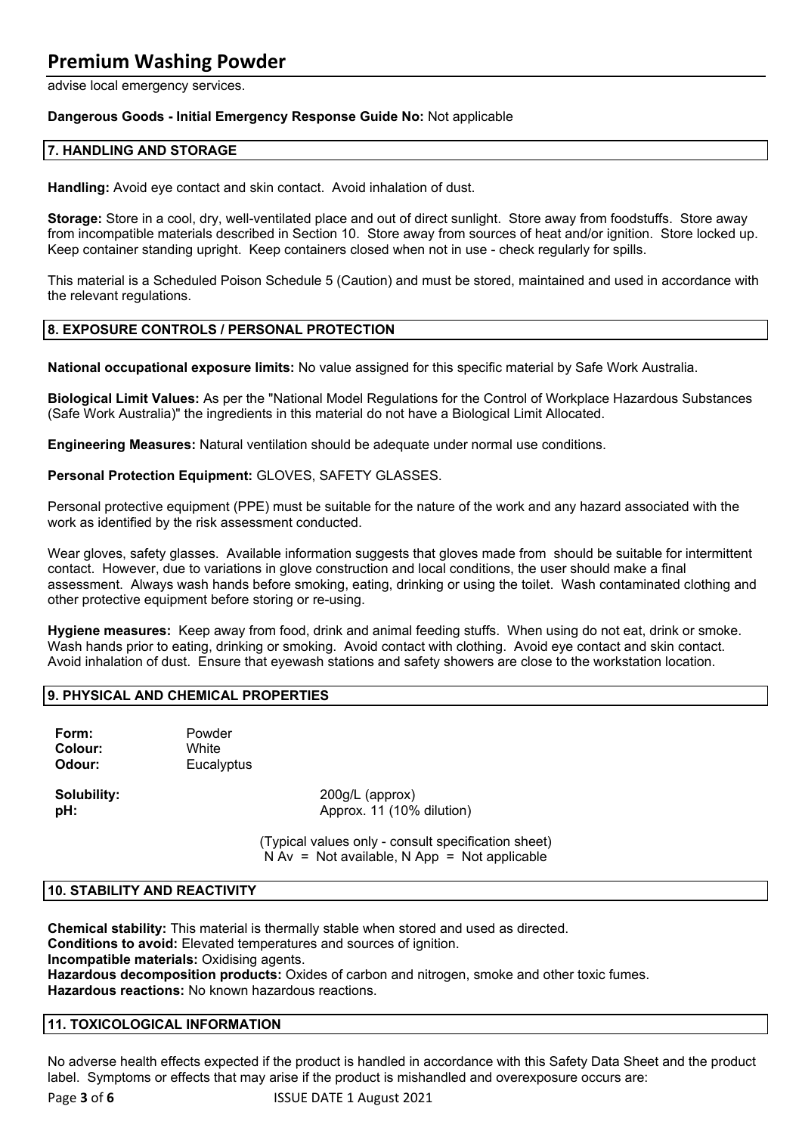advise local emergency services.

#### **Dangerous Goods - Initial Emergency Response Guide No:** Not applicable

#### **7. HANDLING AND STORAGE**

**Handling:** Avoid eye contact and skin contact. Avoid inhalation of dust.

**Storage:** Store in a cool, dry, well-ventilated place and out of direct sunlight. Store away from foodstuffs. Store away from incompatible materials described in Section 10. Store away from sources of heat and/or ignition. Store locked up. Keep container standing upright. Keep containers closed when not in use - check regularly for spills.

This material is a Scheduled Poison Schedule 5 (Caution) and must be stored, maintained and used in accordance with the relevant regulations.

#### **8. EXPOSURE CONTROLS / PERSONAL PROTECTION**

**National occupational exposure limits:** No value assigned for this specific material by Safe Work Australia.

**Biological Limit Values:** As per the "National Model Regulations for the Control of Workplace Hazardous Substances (Safe Work Australia)" the ingredients in this material do not have a Biological Limit Allocated.

**Engineering Measures:** Natural ventilation should be adequate under normal use conditions.

**Personal Protection Equipment:** GLOVES, SAFETY GLASSES.

Personal protective equipment (PPE) must be suitable for the nature of the work and any hazard associated with the work as identified by the risk assessment conducted.

Wear gloves, safety glasses. Available information suggests that gloves made from should be suitable for intermittent contact. However, due to variations in glove construction and local conditions, the user should make a final assessment. Always wash hands before smoking, eating, drinking or using the toilet. Wash contaminated clothing and other protective equipment before storing or re-using.

**Hygiene measures:** Keep away from food, drink and animal feeding stuffs. When using do not eat, drink or smoke. Wash hands prior to eating, drinking or smoking. Avoid contact with clothing. Avoid eye contact and skin contact. Avoid inhalation of dust. Ensure that eyewash stations and safety showers are close to the workstation location.

#### **9. PHYSICAL AND CHEMICAL PROPERTIES**

**Form:** Powder **Colour:** White **Odour:** Eucalyptus

**Solubility:** 200g/L (approx) **pH:** Approx. 11 (10% dilution)

> (Typical values only - consult specification sheet)  $N Av = Not available, N App = Not applicable$

#### **10. STABILITY AND REACTIVITY**

**Chemical stability:** This material is thermally stable when stored and used as directed.

**Conditions to avoid:** Elevated temperatures and sources of ignition.

**Incompatible materials:** Oxidising agents.

**Hazardous decomposition products:** Oxides of carbon and nitrogen, smoke and other toxic fumes. **Hazardous reactions:** No known hazardous reactions.

#### **11. TOXICOLOGICAL INFORMATION**

No adverse health effects expected if the product is handled in accordance with this Safety Data Sheet and the product label. Symptoms or effects that may arise if the product is mishandled and overexposure occurs are: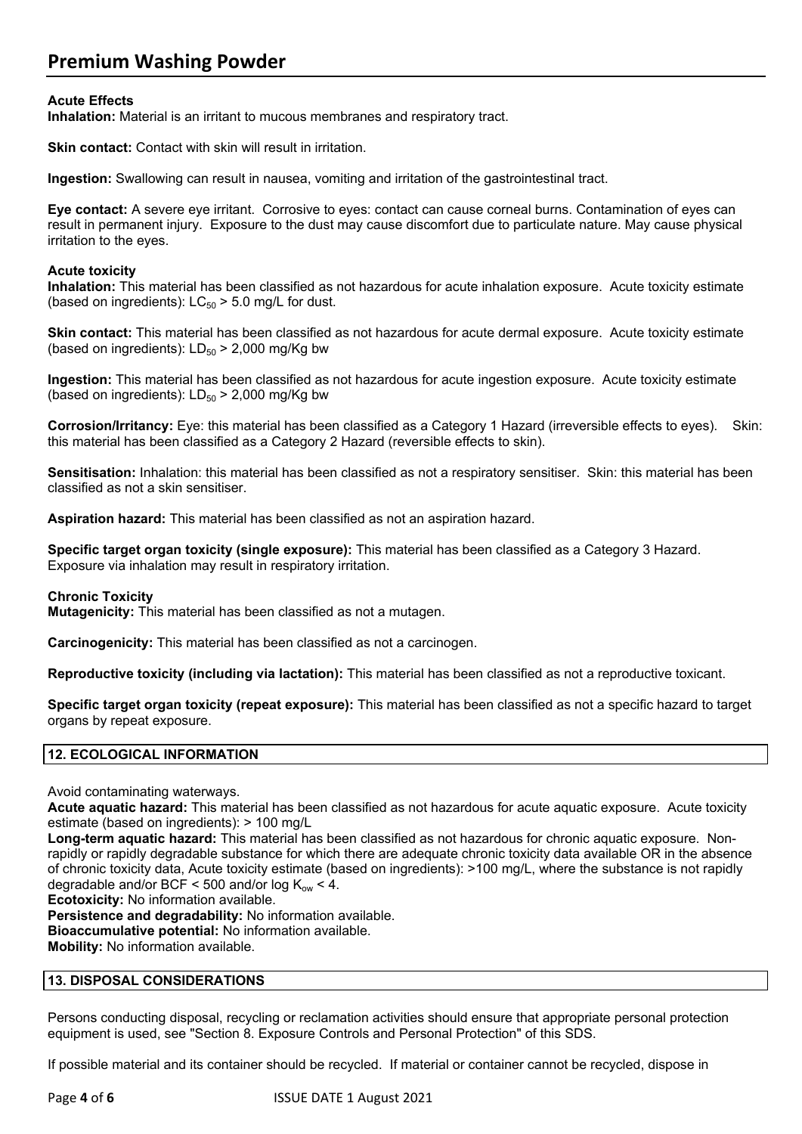#### **Acute Effects**

**Inhalation:** Material is an irritant to mucous membranes and respiratory tract.

**Skin contact:** Contact with skin will result in irritation.

**Ingestion:** Swallowing can result in nausea, vomiting and irritation of the gastrointestinal tract.

**Eye contact:** A severe eye irritant. Corrosive to eyes: contact can cause corneal burns. Contamination of eyes can result in permanent injury. Exposure to the dust may cause discomfort due to particulate nature. May cause physical irritation to the eyes.

#### **Acute toxicity**

**Inhalation:** This material has been classified as not hazardous for acute inhalation exposure. Acute toxicity estimate (based on ingredients):  $LC_{50}$  > 5.0 mg/L for dust.

**Skin contact:** This material has been classified as not hazardous for acute dermal exposure. Acute toxicity estimate (based on ingredients):  $LD_{50}$  > 2,000 mg/Kg bw

**Ingestion:** This material has been classified as not hazardous for acute ingestion exposure. Acute toxicity estimate (based on ingredients):  $LD_{50}$  > 2,000 mg/Kg bw

**Corrosion/Irritancy:** Eye: this material has been classified as a Category 1 Hazard (irreversible effects to eyes). Skin: this material has been classified as a Category 2 Hazard (reversible effects to skin).

**Sensitisation:** Inhalation: this material has been classified as not a respiratory sensitiser. Skin: this material has been classified as not a skin sensitiser.

**Aspiration hazard:** This material has been classified as not an aspiration hazard.

**Specific target organ toxicity (single exposure):** This material has been classified as a Category 3 Hazard. Exposure via inhalation may result in respiratory irritation.

#### **Chronic Toxicity**

**Mutagenicity:** This material has been classified as not a mutagen.

**Carcinogenicity:** This material has been classified as not a carcinogen.

**Reproductive toxicity (including via lactation):** This material has been classified as not a reproductive toxicant.

**Specific target organ toxicity (repeat exposure):** This material has been classified as not a specific hazard to target organs by repeat exposure.

#### **12. ECOLOGICAL INFORMATION**

Avoid contaminating waterways.

**Acute aquatic hazard:** This material has been classified as not hazardous for acute aquatic exposure. Acute toxicity estimate (based on ingredients): > 100 mg/L

**Long-term aquatic hazard:** This material has been classified as not hazardous for chronic aquatic exposure. Nonrapidly or rapidly degradable substance for which there are adequate chronic toxicity data available OR in the absence of chronic toxicity data, Acute toxicity estimate (based on ingredients): >100 mg/L, where the substance is not rapidly degradable and/or BCF < 500 and/or log  $K_{ow}$  < 4.

**Ecotoxicity:** No information available.

**Persistence and degradability:** No information available.

**Bioaccumulative potential:** No information available.

**Mobility:** No information available.

#### **13. DISPOSAL CONSIDERATIONS**

Persons conducting disposal, recycling or reclamation activities should ensure that appropriate personal protection equipment is used, see "Section 8. Exposure Controls and Personal Protection" of this SDS.

If possible material and its container should be recycled. If material or container cannot be recycled, dispose in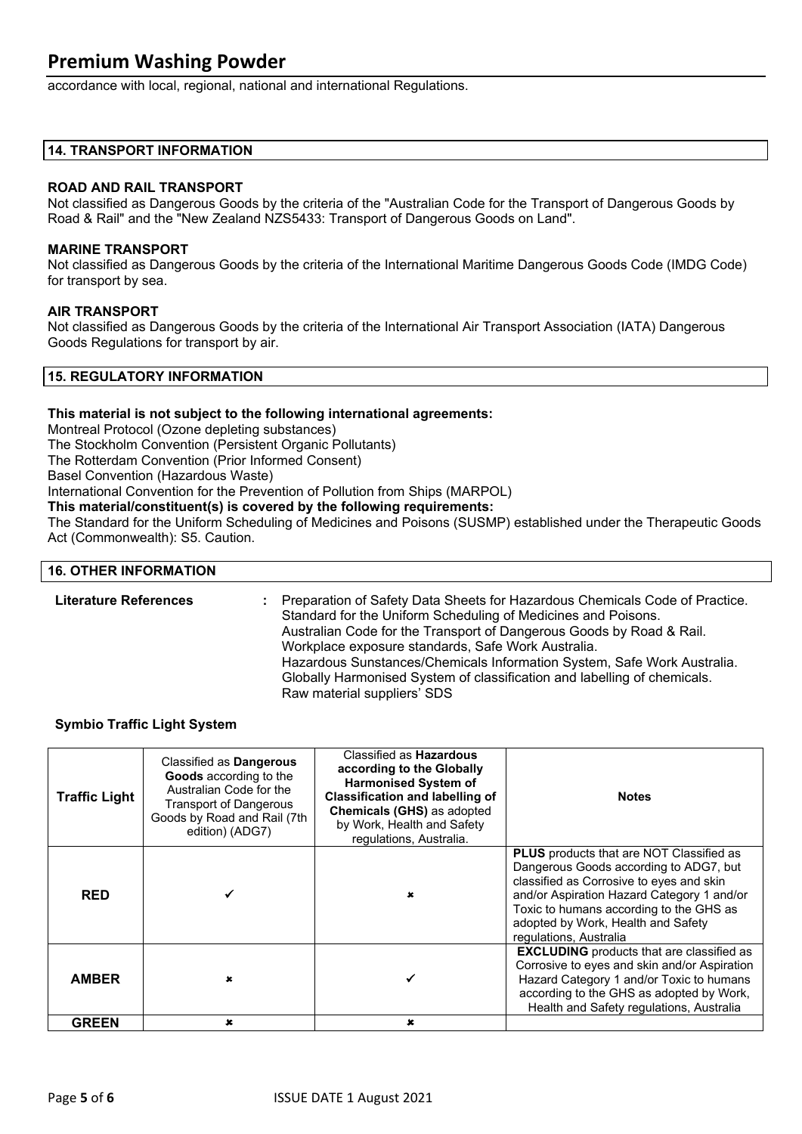accordance with local, regional, national and international Regulations.

#### **14. TRANSPORT INFORMATION**

#### **ROAD AND RAIL TRANSPORT**

Not classified as Dangerous Goods by the criteria of the "Australian Code for the Transport of Dangerous Goods by Road & Rail" and the "New Zealand NZS5433: Transport of Dangerous Goods on Land".

#### **MARINE TRANSPORT**

Not classified as Dangerous Goods by the criteria of the International Maritime Dangerous Goods Code (IMDG Code) for transport by sea.

#### **AIR TRANSPORT**

Not classified as Dangerous Goods by the criteria of the International Air Transport Association (IATA) Dangerous Goods Regulations for transport by air.

#### **15. REGULATORY INFORMATION**

#### **This material is not subject to the following international agreements:**

Montreal Protocol (Ozone depleting substances)

The Stockholm Convention (Persistent Organic Pollutants)

The Rotterdam Convention (Prior Informed Consent)

Basel Convention (Hazardous Waste)

International Convention for the Prevention of Pollution from Ships (MARPOL)

**This material/constituent(s) is covered by the following requirements:**

The Standard for the Uniform Scheduling of Medicines and Poisons (SUSMP) established under the Therapeutic Goods Act (Commonwealth): S5. Caution.

#### **16. OTHER INFORMATION**

| <b>Literature References</b> | Preparation of Safety Data Sheets for Hazardous Chemicals Code of Practice.<br>Standard for the Uniform Scheduling of Medicines and Poisons.<br>Australian Code for the Transport of Dangerous Goods by Road & Rail.<br>Workplace exposure standards, Safe Work Australia.<br>Hazardous Sunstances/Chemicals Information System, Safe Work Australia.<br>Globally Harmonised System of classification and labelling of chemicals. |
|------------------------------|-----------------------------------------------------------------------------------------------------------------------------------------------------------------------------------------------------------------------------------------------------------------------------------------------------------------------------------------------------------------------------------------------------------------------------------|
|                              | Raw material suppliers' SDS                                                                                                                                                                                                                                                                                                                                                                                                       |

#### **Symbio Traffic Light System**

| <b>Traffic Light</b> | Classified as Dangerous<br>Goods according to the<br>Australian Code for the<br><b>Transport of Dangerous</b><br>Goods by Road and Rail (7th<br>edition) (ADG7) | Classified as <b>Hazardous</b><br>according to the Globally<br><b>Harmonised System of</b><br><b>Classification and labelling of</b><br><b>Chemicals (GHS) as adopted</b><br>by Work, Health and Safety<br>regulations, Australia. | <b>Notes</b>                                                                                                                                                                                                                                                                                   |
|----------------------|-----------------------------------------------------------------------------------------------------------------------------------------------------------------|------------------------------------------------------------------------------------------------------------------------------------------------------------------------------------------------------------------------------------|------------------------------------------------------------------------------------------------------------------------------------------------------------------------------------------------------------------------------------------------------------------------------------------------|
| <b>RED</b>           |                                                                                                                                                                 |                                                                                                                                                                                                                                    | <b>PLUS</b> products that are NOT Classified as<br>Dangerous Goods according to ADG7, but<br>classified as Corrosive to eyes and skin<br>and/or Aspiration Hazard Category 1 and/or<br>Toxic to humans according to the GHS as<br>adopted by Work, Health and Safety<br>regulations, Australia |
| <b>AMBER</b>         | $\mathbf x$                                                                                                                                                     |                                                                                                                                                                                                                                    | <b>EXCLUDING</b> products that are classified as<br>Corrosive to eyes and skin and/or Aspiration<br>Hazard Category 1 and/or Toxic to humans<br>according to the GHS as adopted by Work,<br>Health and Safety regulations, Australia                                                           |
| <b>GREEN</b>         | $\mathbf x$                                                                                                                                                     | $\mathbf x$                                                                                                                                                                                                                        |                                                                                                                                                                                                                                                                                                |